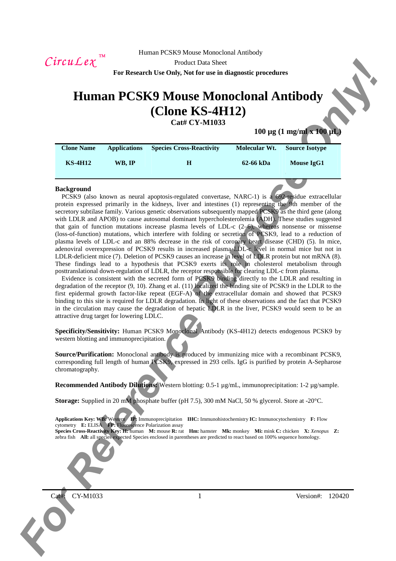$CircuLex$ <sup>TM</sup>

Product Data Sheet

**For Research Use Only, Not for use in diagnostic procedures** 

# **Human PCSK9 Mouse Monoclonal Antibody (Clone KS-4H12)**

**Cat# CY-M1033**

**100 μg (1 mg/ml x 100 μ**)

| <b>Clone Name</b> | <b>Applications</b> | <b>Species Cross-Reactivity</b> | Molecular Wt. | <b>Source Isotype</b> |
|-------------------|---------------------|---------------------------------|---------------|-----------------------|
| <b>KS-4H12</b>    | WB. IP              | Н                               | 62-66 kDa     | Mouse IgG1            |

## **Background**

Circuit Lee, For Registration (Scheme of the EX-19 in Section 2002)<br> **For Research Lie Only Not Form and Proposition 2002**<br>
Concern and Proposition 2003<br>
Concern and Proposition 2003<br>
The second purpose of the Concern and PCSK9 (also known as neural apoptosis-regulated convertase, NARC-1) is a 692-residue extracellular protein expressed primarily in the kidneys, liver and intestines (1) representing the 9th member of the secretory subtilase family. Various genetic observations subsequently mapped PCSK9 as the third gene (along with LDLR and APOB) to cause autosomal dominant hypercholesterolemia (ADH). These studies suggested that gain of function mutations increase plasma levels of LDL-c  $(2-6)$ , whereas nonsense or missense (loss-of-function) mutations, which interfere with folding or secretion of PCSK9, lead to a reduction of plasma levels of LDL-c and an 88% decrease in the risk of coronary heart disease (CHD) (5). In mice, adenoviral overexpression of PCSK9 results in increased plasma LDL-c level in normal mice but not in LDLR-deficient mice (7). Deletion of PCSK9 causes an increase in level of LDLR protein but not mRNA (8). These findings lead to a hypothesis that PCSK9 exerts its role in cholesterol metabolism through posttranslational down-regulation of LDLR, the receptor responsible for clearing LDL-c from plasma.

Evidence is consistent with the secreted form of PCSK9 binding directly to the LDLR and resulting in degradation of the receptor (9, 10). Zhang et al. (11) localized the binding site of PCSK9 in the LDLR to the first epidermal growth factor-like repeat (EGF-A) of the extracellular domain and showed that PCSK9 binding to this site is required for LDLR degradation. In light of these observations and the fact that PCSK9 in the circulation may cause the degradation of hepatic LDLR in the liver, PCSK9 would seem to be an attractive drug target for lowering LDLC.

**Specificity/Sensitivity:** Human PCSK9 Monoclonal Antibody (KS-4H12) detects endogenous PCSK9 by western blotting and immunoprecipitation.

**Source/Purification:** Monoclonal antibody is produced by immunizing mice with a recombinant PCSK9, corresponding full length of human PCSK9, expressed in 293 cells. IgG is purified by protein A-Sepharose chromatography.

**Recommended Antibody Dilutions:** Western blotting: 0.5-1 µg/mL, immunoprecipitation: 1-2 µg/sample.

**Storage:** Supplied in 20 mM phosphate buffer (pH 7.5), 300 mM NaCl, 50 % glycerol. Store at -20°C.

**Applications Key: WB:** Western **IP:** Immunoprecipitation **IHC:** Immunohistochemistry **IC:** Immunocytochemistry **F:** Flow cytometry **E:** ELISA **FP:** Fluorescence Polarization assay

**Species Cross-Reactivity Key: H:** human **M:** mouse **R:** rat **Hm:** hamster **Mk:** monkey **Mi:** mink **C:** chicken **X:** *Xenopus* **Z:**  zebra fish **All:** all species expected Species enclosed in parentheses are predicted to react based on 100% sequence homology.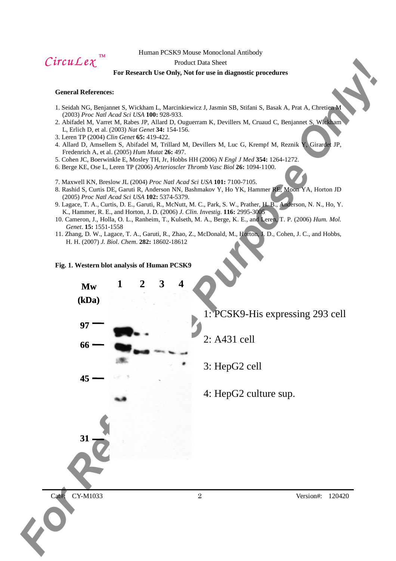$CircuLex$ <sup>TM</sup>

## Product Data Sheet

## **For Research Use Only, Not for use in diagnostic procedures**

## **General References:**

- 1. Seidah NG, Benjannet S, Wickham L, Marcinkiewicz J, Jasmin SB, Stifani S, Basak A, Prat A, Chretien M (2003) *Proc Natl Acad Sci USA* **100:** 928-933.
- 2. Abifadel M, Varret M, Rabes JP, Allard D, Ouguerram K, Devillers M, Cruaud C, Benjannet S, Wickham L, Erlich D, et al. (2003) *Nat Genet* **34:** 154-156.
- 3. Leren TP (2004) *Clin Genet* **65:** 419-422.
- 4. Allard D, Amsellem S, Abifadel M, Trillard M, Devillers M, Luc G, Krempf M, Reznik Y, Girardet JP, Fredenrich A, et al. (2005) *Hum Mutat* **26:** 497.
- 5. Cohen JC, Boerwinkle E, Mosley TH, Jr, Hobbs HH (2006) *N Engl J Med* **354:** 1264-1272.
- 6. Berge KE, Ose L, Leren TP (2006) *Arterioscler Thromb Vasc Biol* **26:** 1094-1100.
- 7. Maxwell KN, Breslow JL (2004) *Proc Natl Acad Sci USA* **101:** 7100-7105.
- 8. Rashid S, Curtis DE, Garuti R, Anderson NN, Bashmakov Y, Ho YK, Hammer RE, Moon YA, Horton JD (2005) *Proc Natl Acad Sci USA* **102:** 5374-5379.
- 9. Lagace, T. A., Curtis, D. E., Garuti, R., McNutt, M. C., Park, S. W., Prather, H. B., Anderson, N. N., Ho, Y. K., Hammer, R. E., and Horton, J. D. (2006) *J. Clin. Investig*. **116:** 2995-3005
- 10. Cameron, J., Holla, O. L., Ranheim, T., Kulseth, M. A., Berge, K. E., and Leren, T. P. (2006) *Hum. Mol. Genet*. **15:** 1551-1558
- 11. Zhang, D. W., Lagace, T. A., Garuti, R., Zhao, Z., McDonald, M., Horton, J. D., Cohen, J. C., and Hobbs, H. H. (2007) *J. Biol. Chem*. **282:** 18602-18612

#### **Fig. 1. Western blot analysis of Human PCSK9**

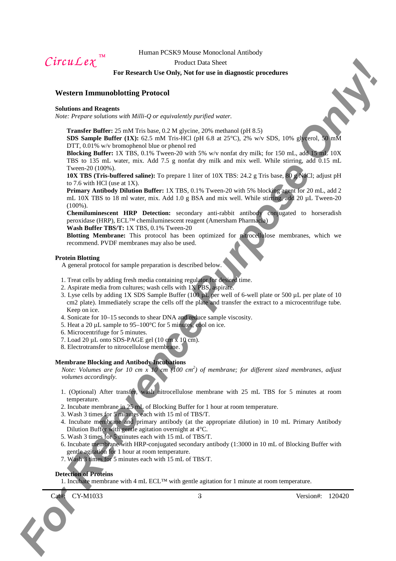$CircuLex$ <sup>TM</sup>

#### Product Data Sheet

## **For Research Use Only, Not for use in diagnostic procedures**

## **Western Immunoblotting Protocol**

#### **Solutions and Reagents**

*Note: Prepare solutions with Milli-Q or equivalently purified water.* 

**Transfer Buffer:** 25 mM Tris base, 0.2 M glycine, 20% methanol (pH 8.5)

**SDS Sample Buffer (1X):** 62.5 mM Tris-HCl (pH 6.8 at 25°C), 2% w/v SDS, 10% glycerol, 50 mM DTT, 0.01% w/v bromophenol blue or phenol red

**Blocking Buffer:** 1X TBS, 0.1% Tween-20 with 5% w/v nonfat dry milk; for 150 mL, add 15 mL 10X TBS to 135 mL water, mix. Add 7.5 g nonfat dry milk and mix well. While stirring, add 0.15 mL Tween-20 (100%).

**10X TBS (Tris-buffered saline):** To prepare 1 liter of 10X TBS: 24.2 g Tris base, 80 g NaCl; adjust pH to 7.6 with HCl (use at 1X).

C. FITCH L. L. e. F. F. External United the United States and Republic procedures<br> **For Reference Purpose Only 20** and Republic States and Republic States and Republic States and Republic States and Republic States and Re **Primary Antibody Dilution Buffer:** 1X TBS, 0.1% Tween-20 with 5% blocking agent for 20 mL, add 2 mL 10X TBS to 18 ml water, mix. Add 1.0 g BSA and mix well. While stirring, add 20 µL Tween-20 (100%).

**Chemiluminescent HRP Detection:** secondary anti-rabbit antibody conjugated to horseradish peroxidase (HRP), ECL™ chemiluminescent reagent (Amersham Pharmacia) **Wash Buffer TBS/T:** 1X TBS, 0.1% Tween-20

**Blotting Membrane:** This protocol has been optimized for nitrocellulose membranes, which we recommend. PVDF membranes may also be used.

#### **Protein Blotting**

A general protocol for sample preparation is described below.

- 1. Treat cells by adding fresh media containing regulator for desired time.
- 2. Aspirate media from cultures; wash cells with 1X PBS, aspirate.
- 3. Lyse cells by adding 1X SDS Sample Buffer (100 µL per well of 6-well plate or 500 µL per plate of 10 cm2 plate). Immediately scrape the cells off the plate and transfer the extract to a microcentrifuge tube. Keep on ice.
- 4. Sonicate for 10–15 seconds to shear DNA and reduce sample viscosity.
- 5. Heat a 20  $\mu$ L sample to 95–100 $\degree$ C for 5 minutes, cool on ice.
- 6. Microcentrifuge for 5 minutes.
- 7. Load 20 µL onto SDS-PAGE gel (10 cm x 10 cm).
- 8. Electrotransfer to nitrocellulose membrane.

## **Membrane Blocking and Antibody Incubations**

*Note: Volumes are for 10 cm x 10 cm (100 cm<sup>2</sup> ) of membrane; for different sized membranes, adjust volumes accordingly.* 

- 1. (Optional) After transfer, wash nitrocellulose membrane with 25 mL TBS for 5 minutes at room temperature.
- 2. Incubate membrane in 25 mL of Blocking Buffer for 1 hour at room temperature.
- 3. Wash 3 times for 5 minutes each with 15 ml of TBS/T.
- 4. Incubate membrane and primary antibody (at the appropriate dilution) in 10 mL Primary Antibody Dilution Buffer with gentle agitation overnight at 4°C.
- 5. Wash 3 times for 5 minutes each with 15 mL of TBS/T.
- 6. Incubate membrane with HRP-conjugated secondary antibody (1:3000 in 10 mL of Blocking Buffer with gentle agitation for 1 hour at room temperature.
- 7. Wash 3 times for 5 minutes each with 15 mL of TBS/T.

## **Detection of Proteins**

1. Incubate membrane with 4 mL ECL<sup>TM</sup> with gentle agitation for 1 minute at room temperature.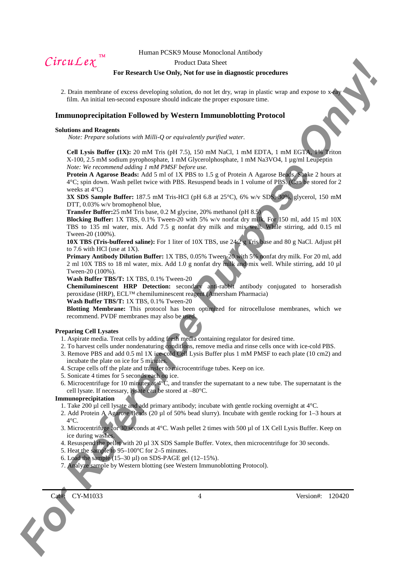$CircuLex$ <sup>TM</sup>

#### Product Data Sheet

## **For Research Use Only, Not for use in diagnostic procedures**

2. Drain membrane of excess developing solution, do not let dry, wrap in plastic wrap and expose to  $x$ film. An initial ten-second exposure should indicate the proper exposure time.

## **Immunoprecipitation Followed by Western Immunoblotting Protocol**

#### **Solutions and Reagents**

*Note: Prepare solutions with Milli-Q or equivalently purified water.* 

**Cell Lysis Buffer (1X):** 20 mM Tris (pH 7.5), 150 mM NaCl, 1 mM EDTA, 1 mM EGTA, 1% Triton X-100, 2.5 mM sodium pyrophosphate, 1 mM Glycerolphosphate, 1 mM Na3VO4, 1 µg/ml Leupeptin *Note: We recommend adding 1 mM PMSF before use.* 

*For Cale Lee C*<br>
For Research Vectors, Nat for such afforeseed procedures<br>
2. Equivalent of exception of the bookstate of the such a statistic with the such a statistic statistic of exception of the such a statistic stat **Protein A Agarose Beads:** Add 5 ml of 1X PBS to 1.5 g of Protein A Agarose Beads. Shake 2 hours at 4°C; spin down. Wash pellet twice with PBS. Resuspend beads in 1 volume of PBS. (Can be stored for 2 weeks at 4°C)

**3X SDS Sample Buffer:** 187.5 mM Tris-HCl (pH 6.8 at 25°C), 6% w/v SDS, 30%, glycerol, 150 mM DTT, 0.03% w/v bromophenol blue.

**Transfer Buffer:**25 mM Tris base, 0.2 M glycine, 20% methanol (pH 8.5)

**Blocking Buffer:** 1X TBS, 0.1% Tween-20 with 5% w/v nonfat dry milk. For 150 ml, add 15 ml 10X TBS to 135 ml water, mix. Add 7.5 g nonfat dry milk and mix well. While stirring, add 0.15 ml Tween-20 (100%).

**10X TBS (Tris-buffered saline):** For 1 liter of 10X TBS, use 24.2 g Tris base and 80 g NaCl. Adjust pH to 7.6 with HCl (use at 1X).

**Primary Antibody Dilution Buffer:** 1X TBS, 0.05% Tween-20 with 5% nonfat dry milk. For 20 ml, add 2 ml 10X TBS to 18 ml water, mix. Add 1.0 g nonfat dry milk and mix well. While stirring, add 10 µl Tween-20 (100%).

**Wash Buffer TBS/T:** 1X TBS, 0.1% Tween-20

**Chemiluminescent HRP Detection:** secondary anti-rabbit antibody conjugated to horseradish peroxidase (HRP), ECL™ chemiluminescent reagent (Amersham Pharmacia)

## **Wash Buffer TBS/T:** 1X TBS, 0.1% Tween-20

**Blotting Membrane:** This protocol has been optimized for nitrocellulose membranes, which we recommend. PVDF membranes may also be used.

#### **Preparing Cell Lysates**

- 1. Aspirate media. Treat cells by adding fresh media containing regulator for desired time.
- 2. To harvest cells under nondenaturing conditions, remove media and rinse cells once with ice-cold PBS.
- 3. Remove PBS and add 0.5 ml 1X ice-cold Cell Lysis Buffer plus 1 mM PMSF to each plate (10 cm2) and incubate the plate on ice for 5 minutes.
- 4. Scrape cells off the plate and transfer to microcentrifuge tubes. Keep on ice.
- 5. Sonicate 4 times for 5 seconds each on ice.
- 6. Microcentrifuge for 10 minutes at  $4^{\circ}C$ , and transfer the supernatant to a new tube. The supernatant is the cell lysate. If necessary, lysate can be stored at –80°C.

#### **Immunoprecipitation**

- 1. Take 200 ul cell lysate and add primary antibody; incubate with gentle rocking overnight at  $4^{\circ}$ C.
- 2. Add Protein A Agarose Beads (20 µl of 50% bead slurry). Incubate with gentle rocking for 1–3 hours at  $4^{\circ}$ C.
- 3. Microcentrifuge for 30 seconds at 4°C. Wash pellet 2 times with 500 µl of 1X Cell Lysis Buffer. Keep on ice during washes.
- 4. Resuspend the pellet with 20 µl 3X SDS Sample Buffer. Votex, then microcentrifuge for 30 seconds.
- 5. Heat the sample to 95–100°C for 2–5 minutes.
- 6. Load the sample  $(15-30 \mu l)$  on SDS-PAGE gel  $(12-15\%)$ .
- 7. Analyze sample by Western blotting (see Western Immunoblotting Protocol).